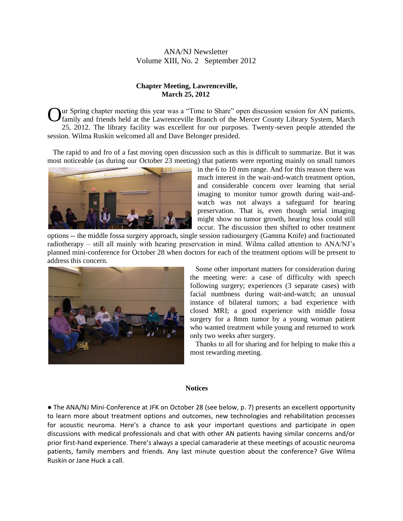# ANA/NJ Newsletter Volume XIII, No. 2 September 2012

## **Chapter Meeting, Lawrenceville, March 25, 2012**

ur Spring chapter meeting this year was a "Time to Share" open discussion session for AN patients, family and friends held at the Lawrenceville Branch of the Mercer County Library System, March 25, 2012. The library facility was excellent for our purposes. Twenty-seven people attended the session. Wilma Ruskin welcomed all and Dave Belonger presided. O

 The rapid to and fro of a fast moving open discussion such as this is difficult to summarize. But it was most noticeable (as during our October 23 meeting) that patients were reporting mainly on small tumors



in the 6 to 10 mm range. And for this reason there was much interest in the wait-and-watch treatment option, and considerable concern over learning that serial imaging to monitor tumor growth during wait-andwatch was not always a safeguard for hearing preservation. That is, even though serial imaging might show no tumor growth, hearing loss could still occur. The discussion then shifted to other treatment

options -- the middle fossa surgery approach, single session radiosurgery (Gamma Knife) and fractionated radiotherapy – still all mainly with hearing preservation in mind. Wilma called attention to ANA/NJ's planned mini-conference for October 28 when doctors for each of the treatment options will be present to address this concern.



 Some other important matters for consideration during the meeting were: a case of difficulty with speech following surgery; experiences (3 separate cases) with facial numbness during wait-and-watch; an unusual instance of bilateral tumors; a bad experience with closed MRI; a good experience with middle fossa surgery for a 8mm tumor by a young woman patient who wanted treatment while young and returned to work only two weeks after surgery.

 Thanks to all for sharing and for helping to make this a most rewarding meeting.

### **Notices**

**●** The ANA/NJ Mini-Conference at JFK on October 28 (see below, p. 7) presents an excellent opportunity to learn more about treatment options and outcomes, new technologies and rehabilitation processes for acoustic neuroma. Here's a chance to ask your important questions and participate in open discussions with medical professionals and chat with other AN patients having similar concerns and/or prior first-hand experience. There's always a special camaraderie at these meetings of acoustic neuroma patients, family members and friends. Any last minute question about the conference? Give Wilma Ruskin or Jane Huck a call.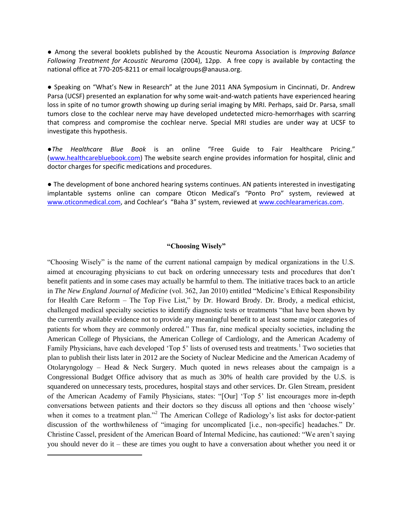● Among the several booklets published by the Acoustic Neuroma Association is *Improving Balance Following Treatment for Acoustic Neuroma* (2004), 12pp. A free copy is available by contacting the national office at 770-205-8211 or email localgroups@anausa.org.

● Speaking on "What's New in Research" at the June 2011 ANA Symposium in Cincinnati, Dr. Andrew Parsa (UCSF) presented an explanation for why some wait-and-watch patients have experienced hearing loss in spite of no tumor growth showing up during serial imaging by MRI. Perhaps, said Dr. Parsa, small tumors close to the cochlear nerve may have developed undetected micro-hemorrhages with scarring that compress and compromise the cochlear nerve. Special MRI studies are under way at UCSF to investigate this hypothesis.

●*The Healthcare Blue Book* is an online "Free Guide to Fair Healthcare Pricing." [\(www.healthcarebluebook.com\)](http://www.healthcarebluebook.com/) The website search engine provides information for hospital, clinic and doctor charges for specific medications and procedures.

● The development of bone anchored hearing systems continues. AN patients interested in investigating implantable systems online can compare Oticon Medical's "Ponto Pro" system, reviewed at [www.oticonmedical.com](http://www.oticonmedical.com/), and Cochlear's "Baha 3" system, reviewed at [www.cochlearamericas.com.](http://www.cochlearamericas.com/)

## **"Choosing Wisely"**

"Choosing Wisely" is the name of the current national campaign by medical organizations in the U.S. aimed at encouraging physicians to cut back on ordering unnecessary tests and procedures that don't benefit patients and in some cases may actually be harmful to them. The initiative traces back to an article in *The New England Journal of Medicine* (vol. 362, Jan 2010) entitled "Medicine's Ethical Responsibility for Health Care Reform – The Top Five List," by Dr. Howard Brody. Dr. Brody, a medical ethicist, challenged medical specialty societies to identify diagnostic tests or treatments "that have been shown by the currently available evidence not to provide any meaningful benefit to at least some major categories of patients for whom they are commonly ordered." Thus far, nine medical specialty societies, including the American College of Physicians, the American College of Cardiology, and the American Academy of Family Physicians, have each developed 'Top 5' lists of overused tests and treatments.<sup>1</sup> Two societies that plan to publish their lists later in 2012 are the Society of Nuclear Medicine and the American Academy of Otolaryngology – Head  $\&$  Neck Surgery. Much quoted in news releases about the campaign is a Congressional Budget Office advisory that as much as 30% of health care provided by the U.S. is squandered on unnecessary tests, procedures, hospital stays and other services. Dr. Glen Stream, president of the American Academy of Family Physicians, states: "[Our] 'Top 5' list encourages more in-depth conversations between patients and their doctors so they discuss all options and then 'choose wisely' when it comes to a treatment plan."<sup>2</sup> The American College of Radiology's list asks for doctor-patient discussion of the worthwhileness of "imaging for uncomplicated [i.e., non-specific] headaches." Dr. Christine Cassel, president of the American Board of Internal Medicine, has cautioned: "We aren't saying you should never do it – these are times you ought to have a conversation about whether you need it or

 $\overline{a}$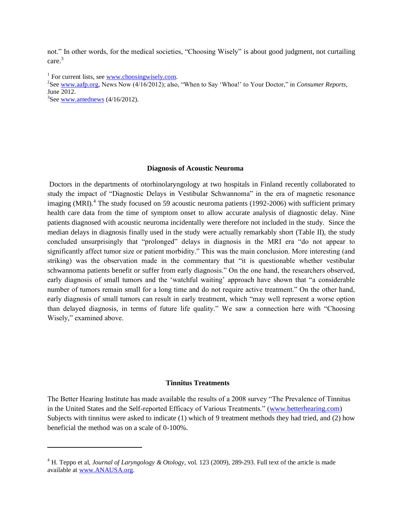not." In other words, for the medical societies, "Choosing Wisely" is about good judgment, not curtailing care.<sup>3</sup>

<sup>1</sup> For current lists, see  $\frac{www.choosingwisely.com}{www.choosingwisely.com}$ .

<sup>2</sup>See <u>www.aafp.org</u>, News Now (4/16/2012); also, "When to Say 'Whoa!' to Your Doctor," in *Consumer Reports*, June 2012.

 ${}^{3}$ See [www.amednews](http://www.amednews/) (4/16/2012).

 $\overline{a}$ 

#### **Diagnosis of Acoustic Neuroma**

Doctors in the departments of otorhinolaryngology at two hospitals in Finland recently collaborated to study the impact of "Diagnostic Delays in Vestibular Schwannoma" in the era of magnetic resonance imaging (MRI).<sup>4</sup> The study focused on 59 acoustic neuroma patients (1992-2006) with sufficient primary health care data from the time of symptom onset to allow accurate analysis of diagnostic delay. Nine patients diagnosed with acoustic neuroma incidentally were therefore not included in the study. Since the median delays in diagnosis finally used in the study were actually remarkably short (Table II), the study concluded unsurprisingly that "prolonged" delays in diagnosis in the MRI era "do not appear to significantly affect tumor size or patient morbidity." This was the main conclusion. More interesting (and striking) was the observation made in the commentary that "it is questionable whether vestibular schwannoma patients benefit or suffer from early diagnosis." On the one hand, the researchers observed, early diagnosis of small tumors and the 'watchful waiting' approach have shown that "a considerable number of tumors remain small for a long time and do not require active treatment." On the other hand, early diagnosis of small tumors can result in early treatment, which "may well represent a worse option than delayed diagnosis, in terms of future life quality." We saw a connection here with "Choosing Wisely," examined above.

### **Tinnitus Treatments**

The Better Hearing Institute has made available the results of a 2008 survey "The Prevalence of Tinnitus in the United States and the Self-reported Efficacy of Various Treatments." [\(www.betterhearing.com\)](http://www.betterhearing.com/) Subjects with tinnitus were asked to indicate (1) which of 9 treatment methods they had tried, and (2) how beneficial the method was on a scale of 0-100%.

<sup>4</sup> H. Teppo et al, *Journal of Laryngology & Otology,* vol. 123 (2009), 289-293. Full text of the article is made available at [www.ANAUSA.org.](http://www.anausa.org/)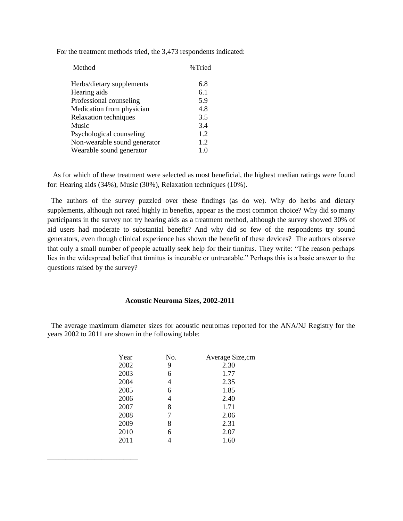| Method                       | %Tried |
|------------------------------|--------|
|                              |        |
| Herbs/dietary supplements    | 6.8    |
| Hearing aids                 | 6.1    |
| Professional counseling      | 5.9    |
| Medication from physician    | 4.8    |
| <b>Relaxation techniques</b> | 3.5    |
| Music                        | 3.4    |
| Psychological counseling     | 1.2    |
| Non-wearable sound generator | 1.2    |
| Wearable sound generator     | 1.0    |

For the treatment methods tried, the 3,473 respondents indicated:

 As for which of these treatment were selected as most beneficial, the highest median ratings were found for: Hearing aids (34%), Music (30%), Relaxation techniques (10%).

 The authors of the survey puzzled over these findings (as do we). Why do herbs and dietary supplements, although not rated highly in benefits, appear as the most common choice? Why did so many participants in the survey not try hearing aids as a treatment method, although the survey showed 30% of aid users had moderate to substantial benefit? And why did so few of the respondents try sound generators, even though clinical experience has shown the benefit of these devices? The authors observe that only a small number of people actually seek help for their tinnitus. They write: "The reason perhaps lies in the widespread belief that tinnitus is incurable or untreatable." Perhaps this is a basic answer to the questions raised by the survey?

#### **Acoustic Neuroma Sizes, 2002-2011**

The average maximum diameter sizes for acoustic neuromas reported for the ANA/NJ Registry for the years 2002 to 2011 are shown in the following table:

| No. | Average Size, cm |
|-----|------------------|
| 9   | 2.30             |
| 6   | 1.77             |
| 4   | 2.35             |
| 6   | 1.85             |
| 4   | 2.40             |
| 8   | 1.71             |
| 7   | 2.06             |
| 8   | 2.31             |
| 6   | 2.07             |
|     | 1.60             |
|     |                  |

\_\_\_\_\_\_\_\_\_\_\_\_\_\_\_\_\_\_\_\_\_\_\_\_\_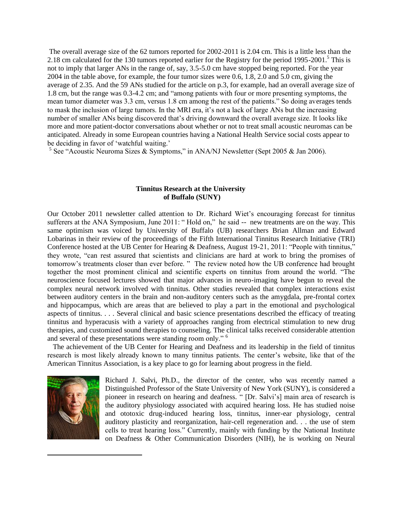The overall average size of the 62 tumors reported for 2002-2011 is 2.04 cm. This is a little less than the 2.18 cm calculated for the 130 tumors reported earlier for the Registry for the period 1995-2001.<sup>5</sup> This is not to imply that larger ANs in the range of, say, 3.5-5.0 cm have stopped being reported. For the year 2004 in the table above, for example, the four tumor sizes were 0.6, 1.8, 2.0 and 5.0 cm, giving the average of 2.35. And the 59 ANs studied for the article on p.3, for example, had an overall average size of 1.8 cm, but the range was 0.3-4.2 cm; and "among patients with four or more presenting symptoms, the mean tumor diameter was 3.3 cm, versus 1.8 cm among the rest of the patients." So doing averages tends to mask the inclusion of large tumors. In the MRI era, it's not a lack of large ANs but the increasing number of smaller ANs being discovered that's driving downward the overall average size. It looks like more and more patient-doctor conversations about whether or not to treat small acoustic neuromas can be anticipated. Already in some European countries having a National Health Service social costs appear to be deciding in favor of 'watchful waiting.'

<sup>5</sup> See "Acoustic Neuroma Sizes & Symptoms," in ANA/NJ Newsletter (Sept 2005 & Jan 2006).

## **Tinnitus Research at the University of Buffalo (SUNY)**

Our October 2011 newsletter called attention to Dr. Richard Wiet's encouraging forecast for tinnitus sufferers at the ANA Symposium, June 2011: "Hold on," he said -- new treatments are on the way. This same optimism was voiced by University of Buffalo (UB) researchers Brian Allman and Edward Lobarinas in their review of the proceedings of the Fifth International Tinnitus Research Initiative (TRI) Conference hosted at the UB Center for Hearing & Deafness, August 19-21, 2011: "People with tinnitus," they wrote, "can rest assured that scientists and clinicians are hard at work to bring the promises of tomorrow's treatments closer than ever before. " The review noted how the UB conference had brought together the most prominent clinical and scientific experts on tinnitus from around the world. "The neuroscience focused lectures showed that major advances in neuro-imaging have begun to reveal the complex neural network involved with tinnitus. Other studies revealed that complex interactions exist between auditory centers in the brain and non-auditory centers such as the amygdala, pre-frontal cortex and hippocampus, which are areas that are believed to play a part in the emotional and psychological aspects of tinnitus. . . . Several clinical and basic science presentations described the efficacy of treating tinnitus and hyperacusis with a variety of approaches ranging from electrical stimulation to new drug therapies, and customized sound therapies to counseling. The clinical talks received considerable attention and several of these presentations were standing room only." <sup>6</sup>

 The achievement of the UB Center for Hearing and Deafness and its leadership in the field of tinnitus research is most likely already known to many tinnitus patients. The center's website, like that of the American Tinnitus Association, is a key place to go for learning about progress in the field.



 $\overline{a}$ 

Richard J. Salvi, Ph.D., the director of the center, who was recently named a Distinguished Professor of the State University of New York (SUNY), is considered a pioneer in research on hearing and deafness. " [Dr. Salvi's] main area of research is the auditory physiology associated with acquired hearing loss. He has studied noise and ototoxic drug-induced hearing loss, tinnitus, inner-ear physiology, central auditory plasticity and reorganization, hair-cell regeneration and. . . the use of stem cells to treat hearing loss." Currently, mainly with funding by the National Institute on Deafness & Other Communication Disorders (NIH), he is working on Neural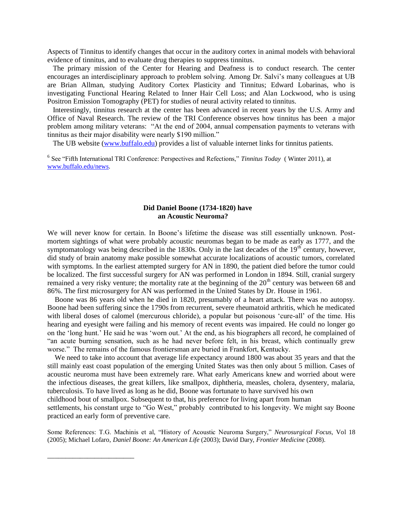Aspects of Tinnitus to identify changes that occur in the auditory cortex in animal models with behavioral evidence of tinnitus, and to evaluate drug therapies to suppress tinnitus.

 The primary mission of the Center for Hearing and Deafness is to conduct research. The center encourages an interdisciplinary approach to problem solving. Among Dr. Salvi's many colleagues at UB are Brian Allman, studying Auditory Cortex Plasticity and Tinnitus; Edward Lobarinas, who is investigating Functional Hearing Related to Inner Hair Cell Loss; and Alan Lockwood, who is using Positron Emission Tomography (PET) for studies of neural activity related to tinnitus.

 Interestingly, tinnitus research at the center has been advanced in recent years by the U.S. Army and Office of Naval Research. The review of the TRI Conference observes how tinnitus has been a major problem among military veterans: "At the end of 2004, annual compensation payments to veterans with tinnitus as their major disability were nearly \$190 million."

The UB website [\(www.buffalo.edu\)](http://www.buffalo.edu/) provides a list of valuable internet links for tinnitus patients.

6 See "Fifth International TRI Conference: Perspectives and Refections," *Tinnitus Today* ( Winter 2011), at [www.buffalo.edu/news.](http://www.buffalo.edu/news) 

## **Did Daniel Boone (1734-1820) have an Acoustic Neuroma?**

We will never know for certain. In Boone's lifetime the disease was still essentially unknown. Postmortem sightings of what were probably acoustic neuromas began to be made as early as 1777, and the symptomatology was being described in the 1830s. Only in the last decades of the  $19<sup>th</sup>$  century, however, did study of brain anatomy make possible somewhat accurate localizations of acoustic tumors, correlated with symptoms. In the earliest attempted surgery for AN in 1890, the patient died before the tumor could be localized. The first successful surgery for AN was performed in London in 1894. Still, cranial surgery remained a very risky venture; the mortality rate at the beginning of the  $20<sup>th</sup>$  century was between 68 and 86%. The first microsurgery for AN was performed in the United States by Dr. House in 1961.

 Boone was 86 years old when he died in 1820, presumably of a heart attack. There was no autopsy. Boone had been suffering since the 1790s from recurrent, severe rheumatoid arthritis, which he medicated with liberal doses of calomel (mercurous chloride), a popular but poisonous 'cure-all' of the time. His hearing and eyesight were failing and his memory of recent events was impaired. He could no longer go on the 'long hunt.' He said he was 'worn out.' At the end, as his biographers all record, he complained of "an acute burning sensation, such as he had never before felt, in his breast, which continually grew worse." The remains of the famous frontiersman are buried in Frankfort, Kentucky.

We need to take into account that average life expectancy around 1800 was about 35 years and that the still mainly east coast population of the emerging United States was then only about 5 million. Cases of acoustic neuroma must have been extremely rare. What early Americans knew and worried about were the infectious diseases, the great killers, like smallpox, diphtheria, measles, cholera, dysentery, malaria, tuberculosis. To have lived as long as he did, Boone was fortunate to have survived his own childhood bout of smallpox. Subsequent to that, his preference for living apart from human

settlements, his constant urge to "Go West," probably contributed to his longevity. We might say Boone practiced an early form of preventive care.

Some References: T.G. Machinis et al, "History of Acoustic Neuroma Surgery," *Neurosurgical Focus*, Vol 18 (2005); Michael Lofaro, *Daniel Boone: An American Life* (2003); David Dary, *Frontier Medicine* (2008).

\_\_\_\_\_\_\_\_\_\_\_\_\_\_\_\_\_\_\_\_\_\_\_\_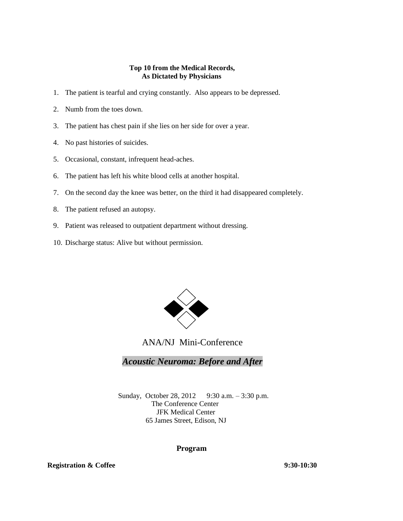## **Top 10 from the Medical Records, As Dictated by Physicians**

- 1. The patient is tearful and crying constantly. Also appears to be depressed.
- 2. Numb from the toes down.
- 3. The patient has chest pain if she lies on her side for over a year.
- 4. No past histories of suicides.
- 5. Occasional, constant, infrequent head-aches.
- 6. The patient has left his white blood cells at another hospital.
- 7. On the second day the knee was better, on the third it had disappeared completely.
- 8. The patient refused an autopsy.
- 9. Patient was released to outpatient department without dressing.
- 10. Discharge status: Alive but without permission.



ANA/NJ Mini-Conference

*Acoustic Neuroma: Before and After* 

Sunday, October 28, 2012 9:30 a.m. - 3:30 p.m. The Conference Center JFK Medical Center 65 James Street, Edison, NJ

## **Program**

**Registration & Coffee 9:30-10:30**